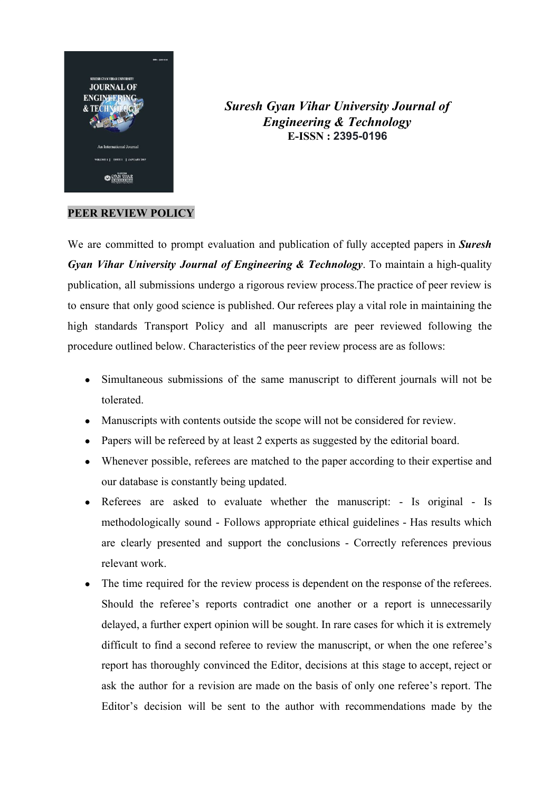

*Suresh Gyan Vihar University Journal of Engineering & Technology* **E-ISSN : 2395-0196**

## **PEER REVIEW POLICY**

We are committed to prompt evaluation and publication of fully accepted papers in *Suresh Gyan Vihar University Journal of Engineering & Technology*. To maintain a high-quality publication, all submissions undergo a rigorous review process.The practice of peer review is to ensure that only good science is published. Our referees play a vital role in maintaining the high standards Transport Policy and all manuscripts are peer reviewed following the procedure outlined below. Characteristics of the peer review process are as follows:

- Simultaneous submissions of the same manuscript to different journals will not be tolerated.
- Manuscripts with contents outside the scope will not be considered for review.
- Papers will be refereed by at least 2 experts as suggested by the editorial board.
- Whenever possible, referees are matched to the paper according to their expertise and our database is constantly being updated.
- Referees are asked to evaluate whether the manuscript: Is original Is methodologically sound - Follows appropriate ethical guidelines - Has results which are clearly presented and support the conclusions - Correctly references previous relevant work.
- The time required for the review process is dependent on the response of the referees. Should the referee's reports contradict one another or a report is unnecessarily delayed, a further expert opinion will be sought. In rare cases for which it is extremely difficult to find a second referee to review the manuscript, or when the one referee's report has thoroughly convinced the Editor, decisions at this stage to accept, reject or ask the author for a revision are made on the basis of only one referee's report. The Editor's decision will be sent to the author with recommendations made by the